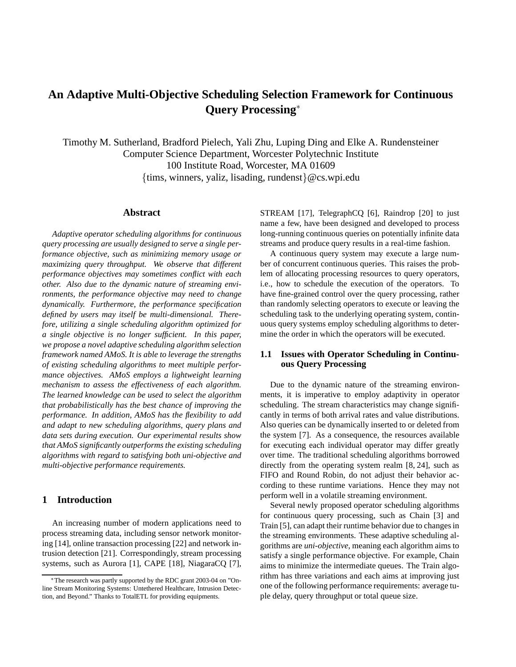# **An Adaptive Multi-Objective Scheduling Selection Framework for Continuous Query Processing**<sup>∗</sup>

Timothy M. Sutherland, Bradford Pielech, Yali Zhu, Luping Ding and Elke A. Rundensteiner Computer Science Department, Worcester Polytechnic Institute 100 Institute Road, Worcester, MA 01609 {tims, winners, yaliz, lisading, rundenst}@cs.wpi.edu

# **Abstract**

*Adaptive operator scheduling algorithms for continuous query processing are usually designed to serve a single performance objective, such as minimizing memory usage or maximizing query throughput. We observe that different performance objectives may sometimes conflict with each other. Also due to the dynamic nature of streaming environments, the performance objective may need to change dynamically. Furthermore, the performance specification defined by users may itself be multi-dimensional. Therefore, utilizing a single scheduling algorithm optimized for a single objective is no longer sufficient. In this paper, we propose a novel adaptive scheduling algorithm selection framework named AMoS. It is able to leverage the strengths of existing scheduling algorithms to meet multiple performance objectives. AMoS employs a lightweight learning mechanism to assess the effectiveness of each algorithm. The learned knowledge can be used to select the algorithm that probabilistically has the best chance of improving the performance. In addition, AMoS has the flexibility to add and adapt to new scheduling algorithms, query plans and data sets during execution. Our experimental results show that AMoS significantly outperforms the existing scheduling algorithms with regard to satisfying both uni-objective and multi-objective performance requirements.*

# **1 Introduction**

An increasing number of modern applications need to process streaming data, including sensor network monitoring [14], online transaction processing [22] and network intrusion detection [21]. Correspondingly, stream processing systems, such as Aurora [1], CAPE [18], NiagaraCQ [7], STREAM [17], TelegraphCQ [6], Raindrop [20] to just name a few, have been designed and developed to process long-running continuous queries on potentially infinite data streams and produce query results in a real-time fashion.

A continuous query system may execute a large number of concurrent continuous queries. This raises the problem of allocating processing resources to query operators, i.e., how to schedule the execution of the operators. To have fine-grained control over the query processing, rather than randomly selecting operators to execute or leaving the scheduling task to the underlying operating system, continuous query systems employ scheduling algorithms to determine the order in which the operators will be executed.

## **1.1 Issues with Operator Scheduling in Continuous Query Processing**

Due to the dynamic nature of the streaming environments, it is imperative to employ adaptivity in operator scheduling. The stream characteristics may change significantly in terms of both arrival rates and value distributions. Also queries can be dynamically inserted to or deleted from the system [7]. As a consequence, the resources available for executing each individual operator may differ greatly over time. The traditional scheduling algorithms borrowed directly from the operating system realm [8, 24], such as FIFO and Round Robin, do not adjust their behavior according to these runtime variations. Hence they may not perform well in a volatile streaming environment.

Several newly proposed operator scheduling algorithms for continuous query processing, such as Chain [3] and Train [5], can adapt their runtime behavior due to changes in the streaming environments. These adaptive scheduling algorithms are *uni-objective*, meaning each algorithm aims to satisfy a single performance objective. For example, Chain aims to minimize the intermediate queues. The Train algorithm has three variations and each aims at improving just one of the following performance requirements: average tuple delay, query throughput or total queue size.

<sup>∗</sup>The research was partly supported by the RDC grant 2003-04 on "Online Stream Monitoring Systems: Untethered Healthcare, Intrusion Detection, and Beyond." Thanks to TotalETL for providing equipments.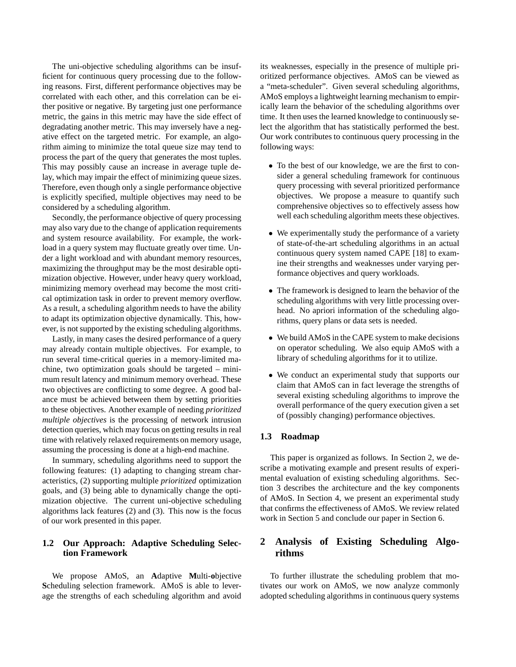The uni-objective scheduling algorithms can be insufficient for continuous query processing due to the following reasons. First, different performance objectives may be correlated with each other, and this correlation can be either positive or negative. By targeting just one performance metric, the gains in this metric may have the side effect of degradating another metric. This may inversely have a negative effect on the targeted metric. For example, an algorithm aiming to minimize the total queue size may tend to process the part of the query that generates the most tuples. This may possibly cause an increase in average tuple delay, which may impair the effect of minimizing queue sizes. Therefore, even though only a single performance objective is explicitly specified, multiple objectives may need to be considered by a scheduling algorithm.

Secondly, the performance objective of query processing may also vary due to the change of application requirements and system resource availability. For example, the workload in a query system may fluctuate greatly over time. Under a light workload and with abundant memory resources, maximizing the throughput may be the most desirable optimization objective. However, under heavy query workload, minimizing memory overhead may become the most critical optimization task in order to prevent memory overflow. As a result, a scheduling algorithm needs to have the ability to adapt its optimization objective dynamically. This, however, is not supported by the existing scheduling algorithms.

Lastly, in many cases the desired performance of a query may already contain multiple objectives. For example, to run several time-critical queries in a memory-limited machine, two optimization goals should be targeted – minimum result latency and minimum memory overhead. These two objectives are conflicting to some degree. A good balance must be achieved between them by setting priorities to these objectives. Another example of needing *prioritized multiple objectives* is the processing of network intrusion detection queries, which may focus on getting results in real time with relatively relaxed requirements on memory usage, assuming the processing is done at a high-end machine.

In summary, scheduling algorithms need to support the following features: (1) adapting to changing stream characteristics, (2) supporting multiple *prioritized* optimization goals, and (3) being able to dynamically change the optimization objective. The current uni-objective scheduling algorithms lack features (2) and (3). This now is the focus of our work presented in this paper.

# **1.2 Our Approach: Adaptive Scheduling Selection Framework**

We propose AMoS, an **A**daptive **M**ulti-**o**bjective **S**cheduling selection framework. AMoS is able to leverage the strengths of each scheduling algorithm and avoid its weaknesses, especially in the presence of multiple prioritized performance objectives. AMoS can be viewed as a "meta-scheduler". Given several scheduling algorithms, AMoS employs a lightweight learning mechanism to empirically learn the behavior of the scheduling algorithms over time. It then uses the learned knowledge to continuously select the algorithm that has statistically performed the best. Our work contributes to continuous query processing in the following ways:

- To the best of our knowledge, we are the first to consider a general scheduling framework for continuous query processing with several prioritized performance objectives. We propose a measure to quantify such comprehensive objectives so to effectively assess how well each scheduling algorithm meets these objectives.
- We experimentally study the performance of a variety of state-of-the-art scheduling algorithms in an actual continuous query system named CAPE [18] to examine their strengths and weaknesses under varying performance objectives and query workloads.
- The framework is designed to learn the behavior of the scheduling algorithms with very little processing overhead. No apriori information of the scheduling algorithms, query plans or data sets is needed.
- We build AMoS in the CAPE system to make decisions on operator scheduling. We also equip AMoS with a library of scheduling algorithms for it to utilize.
- We conduct an experimental study that supports our claim that AMoS can in fact leverage the strengths of several existing scheduling algorithms to improve the overall performance of the query execution given a set of (possibly changing) performance objectives.

#### **1.3 Roadmap**

This paper is organized as follows. In Section 2, we describe a motivating example and present results of experimental evaluation of existing scheduling algorithms. Section 3 describes the architecture and the key components of AMoS. In Section 4, we present an experimental study that confirms the effectiveness of AMoS. We review related work in Section 5 and conclude our paper in Section 6.

# **2 Analysis of Existing Scheduling Algorithms**

To further illustrate the scheduling problem that motivates our work on AMoS, we now analyze commonly adopted scheduling algorithms in continuous query systems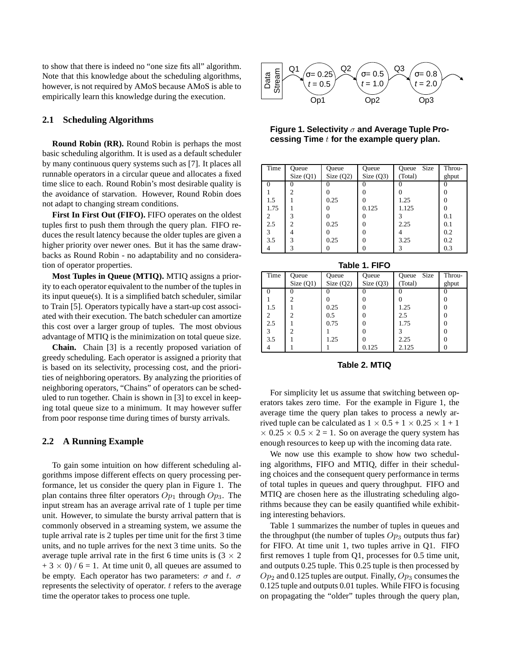to show that there is indeed no "one size fits all" algorithm. Note that this knowledge about the scheduling algorithms, however, is not required by AMoS because AMoS is able to empirically learn this knowledge during the execution.

#### **2.1 Scheduling Algorithms**

**Round Robin (RR).** Round Robin is perhaps the most basic scheduling algorithm. It is used as a default scheduler by many continuous query systems such as [7]. It places all runnable operators in a circular queue and allocates a fixed time slice to each. Round Robin's most desirable quality is the avoidance of starvation. However, Round Robin does not adapt to changing stream conditions.

**First In First Out (FIFO).** FIFO operates on the oldest tuples first to push them through the query plan. FIFO reduces the result latency because the older tuples are given a higher priority over newer ones. But it has the same drawbacks as Round Robin - no adaptability and no consideration of operator properties.

**Most Tuples in Queue (MTIQ).** MTIQ assigns a priority to each operator equivalent to the number of the tuples in its input queue(s). It is a simplified batch scheduler, similar to Train [5]. Operators typically have a start-up cost associated with their execution. The batch scheduler can amortize this cost over a larger group of tuples. The most obvious advantage of MTIQ is the minimization on total queue size.

**Chain.** Chain [3] is a recently proposed variation of greedy scheduling. Each operator is assigned a priority that is based on its selectivity, processing cost, and the priorities of neighboring operators. By analyzing the priorities of neighboring operators, "Chains" of operators can be scheduled to run together. Chain is shown in [3] to excel in keeping total queue size to a minimum. It may however suffer from poor response time during times of bursty arrivals.

#### **2.2 A Running Example**

To gain some intuition on how different scheduling algorithms impose different effects on query processing performance, let us consider the query plan in Figure 1. The plan contains three filter operators  $Op<sub>1</sub>$  through  $Op<sub>3</sub>$ . The input stream has an average arrival rate of 1 tuple per time unit. However, to simulate the bursty arrival pattern that is commonly observed in a streaming system, we assume the tuple arrival rate is 2 tuples per time unit for the first 3 time units, and no tuple arrives for the next 3 time units. So the average tuple arrival rate in the first 6 time units is  $(3 \times 2)$  $+ 3 \times 0$  / 6 = 1. At time unit 0, all queues are assumed to be empty. Each operator has two parameters:  $\sigma$  and t.  $\sigma$ represents the selectivity of operator. t refers to the average time the operator takes to process one tuple.



**Figure 1. Selectivity** σ **and Average Tuple Processing Time** t **for the example query plan.**

| Time | Queue       | Queue       | Queue       | Size<br>Queue | Throu- |
|------|-------------|-------------|-------------|---------------|--------|
|      | Size $(Q1)$ | Size $(Q2)$ | Size $(Q3)$ | (Total)       | ghput  |
|      |             |             |             |               |        |
|      | 2           |             |             |               |        |
| 1.5  |             | 0.25        |             | 1.25          |        |
| 1.75 |             |             | 0.125       | 1.125         |        |
| っ    | 3           |             |             |               | 0.1    |
| 2.5  | 2           | 0.25        |             | 2.25          | 0.1    |
| 3    | 4           |             |             |               | 0.2    |
| 3.5  | 3           | 0.25        |             | 3.25          | 0.2    |
|      |             |             |             |               | 0.3    |

**Table 1. FIFO**

| Time | Queue       | Queue       | Queue       | Size<br>Queue | Throu- |  |  |  |
|------|-------------|-------------|-------------|---------------|--------|--|--|--|
|      | Size $(Q1)$ | Size $(Q2)$ | Size $(Q3)$ | (Total)       | ghput  |  |  |  |
|      |             |             |             |               |        |  |  |  |
|      |             |             |             |               |        |  |  |  |
| 1.5  |             | 0.25        |             | 1.25          |        |  |  |  |
|      | ∍           | 0.5         |             | 2.5           |        |  |  |  |
| 2.5  |             | 0.75        |             | 1.75          |        |  |  |  |
| 3    | ∍           |             |             | 3             |        |  |  |  |
| 3.5  |             | 1.25        |             | 2.25          |        |  |  |  |
|      |             |             | 0.125       | 2.125         |        |  |  |  |

## **Table 2. MTIQ**

For simplicity let us assume that switching between operators takes zero time. For the example in Figure 1, the average time the query plan takes to process a newly arrived tuple can be calculated as  $1 \times 0.5 + 1 \times 0.25 \times 1 + 1$  $\times$  0.25  $\times$  0.5  $\times$  2 = 1. So on average the query system has enough resources to keep up with the incoming data rate.

We now use this example to show how two scheduling algorithms, FIFO and MTIQ, differ in their scheduling choices and the consequent query performance in terms of total tuples in queues and query throughput. FIFO and MTIQ are chosen here as the illustrating scheduling algorithms because they can be easily quantified while exhibiting interesting behaviors.

Table 1 summarizes the number of tuples in queues and the throughput (the number of tuples  $Op_3$  outputs thus far) for FIFO. At time unit 1, two tuples arrive in Q1. FIFO first removes 1 tuple from Q1, processes for 0.5 time unit, and outputs 0.25 tuple. This 0.25 tuple is then processed by  $Op<sub>2</sub>$  and 0.125 tuples are output. Finally,  $Op<sub>3</sub>$  consumes the 0.125 tuple and outputs 0.01 tuples. While FIFO is focusing on propagating the "older" tuples through the query plan,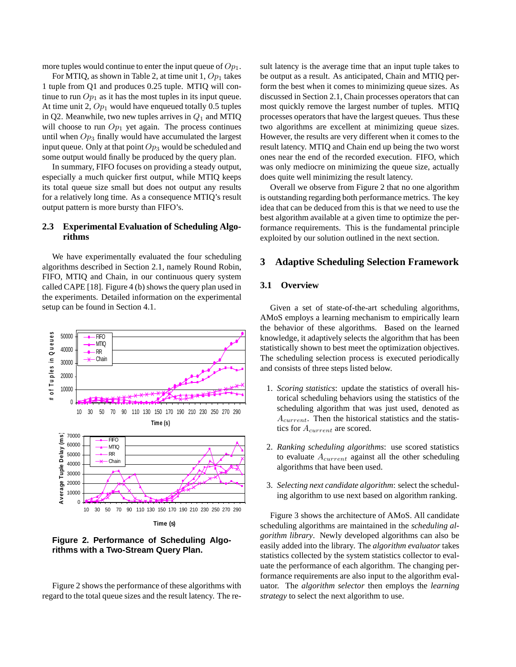more tuples would continue to enter the input queue of  $Op_1$ .

For MTIQ, as shown in Table 2, at time unit 1,  $Op<sub>1</sub>$  takes 1 tuple from Q1 and produces 0.25 tuple. MTIQ will continue to run  $Op_1$  as it has the most tuples in its input queue. At time unit 2,  $Op_1$  would have enqueued totally 0.5 tuples in Q2. Meanwhile, two new tuples arrives in  $Q_1$  and MTIQ will choose to run  $Op_1$  yet again. The process continues until when  $Op_3$  finally would have accumulated the largest input queue. Only at that point  $Op_3$  would be scheduled and some output would finally be produced by the query plan.

In summary, FIFO focuses on providing a steady output, especially a much quicker first output, while MTIQ keeps its total queue size small but does not output any results for a relatively long time. As a consequence MTIQ's result output pattern is more bursty than FIFO's.

# **2.3 Experimental Evaluation of Scheduling Algorithms**

We have experimentally evaluated the four scheduling algorithms described in Section 2.1, namely Round Robin, FIFO, MTIQ and Chain, in our continuous query system called CAPE [18]. Figure 4 (b) shows the query plan used in the experiments. Detailed information on the experimental setup can be found in Section 4.1.



**Figure 2. Performance of Scheduling Algorithms with a Two-Stream Query Plan.**

Figure 2 shows the performance of these algorithms with regard to the total queue sizes and the result latency. The result latency is the average time that an input tuple takes to be output as a result. As anticipated, Chain and MTIQ perform the best when it comes to minimizing queue sizes. As discussed in Section 2.1, Chain processes operators that can most quickly remove the largest number of tuples. MTIQ processes operators that have the largest queues. Thus these two algorithms are excellent at minimizing queue sizes. However, the results are very different when it comes to the result latency. MTIQ and Chain end up being the two worst ones near the end of the recorded execution. FIFO, which was only mediocre on minimizing the queue size, actually does quite well minimizing the result latency.

Overall we observe from Figure 2 that no one algorithm is outstanding regarding both performance metrics. The key idea that can be deduced from this is that we need to use the best algorithm available at a given time to optimize the performance requirements. This is the fundamental principle exploited by our solution outlined in the next section.

# **3 Adaptive Scheduling Selection Framework**

#### **3.1 Overview**

Given a set of state-of-the-art scheduling algorithms, AMoS employs a learning mechanism to empirically learn the behavior of these algorithms. Based on the learned knowledge, it adaptively selects the algorithm that has been statistically shown to best meet the optimization objectives. The scheduling selection process is executed periodically and consists of three steps listed below.

- 1. *Scoring statistics*: update the statistics of overall historical scheduling behaviors using the statistics of the scheduling algorithm that was just used, denoted as  $A<sub>current</sub>$ . Then the historical statistics and the statistics for  $A_{current}$  are scored.
- 2. *Ranking scheduling algorithms*: use scored statistics to evaluate  $A_{current}$  against all the other scheduling algorithms that have been used.
- 3. *Selecting next candidate algorithm*: select the scheduling algorithm to use next based on algorithm ranking.

Figure 3 shows the architecture of AMoS. All candidate scheduling algorithms are maintained in the *scheduling algorithm library*. Newly developed algorithms can also be easily added into the library. The *algorithm evaluator* takes statistics collected by the system statistics collector to evaluate the performance of each algorithm. The changing performance requirements are also input to the algorithm evaluator. The *algorithm selector* then employs the *learning strategy* to select the next algorithm to use.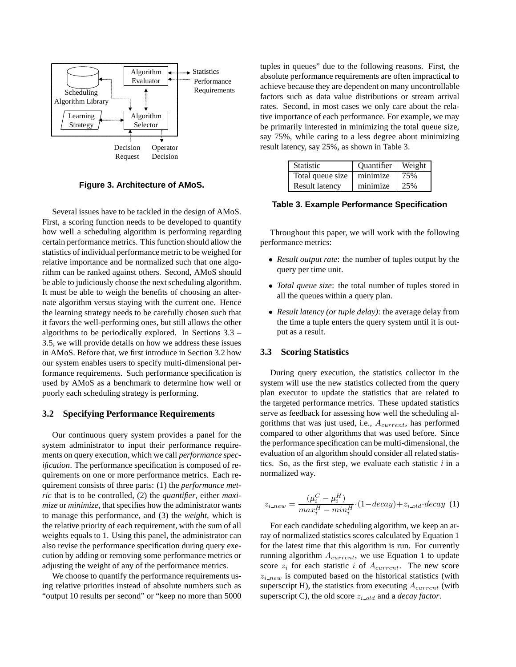

**Figure 3. Architecture of AMoS.**

Several issues have to be tackled in the design of AMoS. First, a scoring function needs to be developed to quantify how well a scheduling algorithm is performing regarding certain performance metrics. This function should allow the statistics of individual performance metric to be weighed for relative importance and be normalized such that one algorithm can be ranked against others. Second, AMoS should be able to judiciously choose the next scheduling algorithm. It must be able to weigh the benefits of choosing an alternate algorithm versus staying with the current one. Hence the learning strategy needs to be carefully chosen such that it favors the well-performing ones, but still allows the other algorithms to be periodically explored. In Sections 3.3 – 3.5, we will provide details on how we address these issues in AMoS. Before that, we first introduce in Section 3.2 how our system enables users to specify multi-dimensional performance requirements. Such performance specification is used by AMoS as a benchmark to determine how well or poorly each scheduling strategy is performing.

#### **3.2 Specifying Performance Requirements**

Our continuous query system provides a panel for the system administrator to input their performance requirements on query execution, which we call *performance specification*. The performance specification is composed of requirements on one or more performance metrics. Each requirement consists of three parts: (1) the *performance metric* that is to be controlled, (2) the *quantifier*, either *maximize* or *minimize*, that specifies how the administrator wants to manage this performance, and (3) the *weight*, which is the relative priority of each requirement, with the sum of all weights equals to 1. Using this panel, the administrator can also revise the performance specification during query execution by adding or removing some performance metrics or adjusting the weight of any of the performance metrics.

We choose to quantify the performance requirements using relative priorities instead of absolute numbers such as "output 10 results per second" or "keep no more than 5000 tuples in queues" due to the following reasons. First, the absolute performance requirements are often impractical to achieve because they are dependent on many uncontrollable factors such as data value distributions or stream arrival rates. Second, in most cases we only care about the relative importance of each performance. For example, we may be primarily interested in minimizing the total queue size, say 75%, while caring to a less degree about minimizing result latency, say 25%, as shown in Table 3.

| <b>Statistic</b>      | Quantifier Weight |     |
|-----------------------|-------------------|-----|
| Total queue size      | minimize          | 75% |
| <b>Result latency</b> | minimize          | 25% |

**Table 3. Example Performance Specification**

Throughout this paper, we will work with the following performance metrics:

- *Result output rate*: the number of tuples output by the query per time unit.
- *Total queue size*: the total number of tuples stored in all the queues within a query plan.
- *Result latency (or tuple delay)*: the average delay from the time a tuple enters the query system until it is output as a result.

# **3.3 Scoring Statistics**

During query execution, the statistics collector in the system will use the new statistics collected from the query plan executor to update the statistics that are related to the targeted performance metrics. These updated statistics serve as feedback for assessing how well the scheduling algorithms that was just used, i.e.,  $A_{current}$ , has performed compared to other algorithms that was used before. Since the performance specification can be multi-dimensional, the evaluation of an algorithm should consider all related statistics. So, as the first step, we evaluate each statistic *i* in a normalized way.

$$
z_{i\_new} = \frac{(\mu_i^C - \mu_i^H)}{max_i^H - min_i^H} \cdot (1 - decay) + z_{i\_old} \cdot decay \tag{1}
$$

For each candidate scheduling algorithm, we keep an array of normalized statistics scores calculated by Equation 1 for the latest time that this algorithm is run. For currently running algorithm  $A_{current}$ , we use Equation 1 to update score  $z_i$  for each statistic i of  $A_{current}$ . The new score  $z_{i_new}$  is computed based on the historical statistics (with superscript H), the statistics from executing  $A_{current}$  (with superscript C), the old score  $z_{i\_old}$  and a *decay factor*.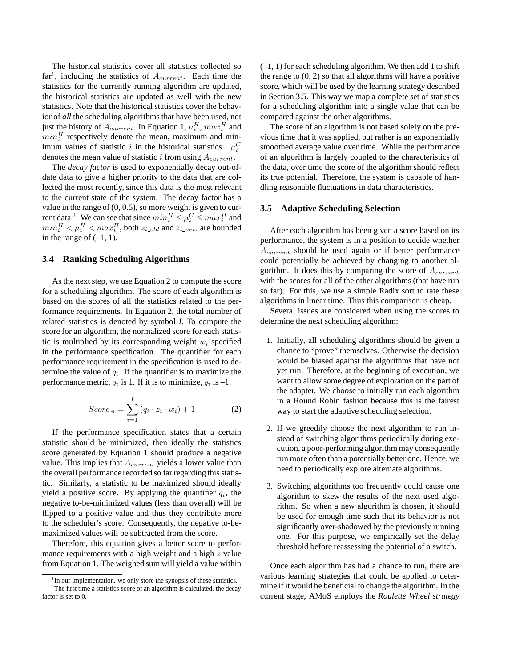The historical statistics cover all statistics collected so far<sup>1</sup>, including the statistics of  $A_{current}$ . Each time the statistics for the currently running algorithm are updated, the historical statistics are updated as well with the new statistics. Note that the historical statistics cover the behavior of *all* the scheduling algorithms that have been used, not just the history of  $A_{current}$ . In Equation 1,  $\mu_i^H$ ,  $max_i^H$  and  $min_i^H$  respectively denote the mean, maximum and minimum values of statistic i in the historical statistics.  $\mu_i^C$ denotes the mean value of statistic i from using  $A_{current}$ .

The *decay factor* is used to exponentially decay out-ofdate data to give a higher priority to the data that are collected the most recently, since this data is the most relevant to the current state of the system. The decay factor has a value in the range of  $(0, 0.5)$ , so more weight is given to current data<sup>2</sup>. We can see that since  $min_i^H \leq \mu_i^C \leq max_i^H$  and  $min_i^H < \mu_i^H < max_i^H$ , both  $z_{i\_old}$  and  $z_{i\_new}$  are bounded in the range of  $(-1, 1)$ .

# **3.4 Ranking Scheduling Algorithms**

As the next step, we use Equation 2 to compute the score for a scheduling algorithm. The score of each algorithm is based on the scores of all the statistics related to the performance requirements. In Equation 2, the total number of related statistics is denoted by symbol *I*. To compute the score for an algorithm, the normalized score for each statistic is multiplied by its corresponding weight  $w_i$  specified in the performance specification. The quantifier for each performance requirement in the specification is used to determine the value of  $q_i$ . If the quantifier is to maximize the performance metric,  $q_i$  is 1. If it is to minimize,  $q_i$  is  $-1$ .

$$
Score_A = \sum_{i=1}^{I} (q_i \cdot z_i \cdot w_i) + 1
$$
 (2)

If the performance specification states that a certain statistic should be minimized, then ideally the statistics score generated by Equation 1 should produce a negative value. This implies that  $A_{current}$  yields a lower value than the overall performance recorded so far regarding this statistic. Similarly, a statistic to be maximized should ideally yield a positive score. By applying the quantifier  $q_i$ , the negative to-be-minimized values (less than overall) will be flipped to a positive value and thus they contribute more to the scheduler's score. Consequently, the negative to-bemaximized values will be subtracted from the score.

Therefore, this equation gives a better score to performance requirements with a high weight and a high  $z$  value from Equation 1. The weighed sum will yield a value within

 $(-1, 1)$  for each scheduling algorithm. We then add 1 to shift the range to  $(0, 2)$  so that all algorithms will have a positive score, which will be used by the learning strategy described in Section 3.5. This way we map a complete set of statistics for a scheduling algorithm into a single value that can be compared against the other algorithms.

The score of an algorithm is not based solely on the previous time that it was applied, but rather is an exponentially smoothed average value over time. While the performance of an algorithm is largely coupled to the characteristics of the data, over time the score of the algorithm should reflect its true potential. Therefore, the system is capable of handling reasonable fluctuations in data characteristics.

#### **3.5 Adaptive Scheduling Selection**

After each algorithm has been given a score based on its performance, the system is in a position to decide whether Acurrent should be used again or if better performance could potentially be achieved by changing to another algorithm. It does this by comparing the score of  $A<sub>current</sub>$ with the scores for all of the other algorithms (that have run so far). For this, we use a simple Radix sort to rate these algorithms in linear time. Thus this comparison is cheap.

Several issues are considered when using the scores to determine the next scheduling algorithm:

- 1. Initially, all scheduling algorithms should be given a chance to "prove" themselves. Otherwise the decision would be biased against the algorithms that have not yet run. Therefore, at the beginning of execution, we want to allow some degree of exploration on the part of the adapter. We choose to initially run each algorithm in a Round Robin fashion because this is the fairest way to start the adaptive scheduling selection.
- 2. If we greedily choose the next algorithm to run instead of switching algorithms periodically during execution, a poor-performing algorithm may consequently run more often than a potentially better one. Hence, we need to periodically explore alternate algorithms.
- 3. Switching algorithms too frequently could cause one algorithm to skew the results of the next used algorithm. So when a new algorithm is chosen, it should be used for enough time such that its behavior is not significantly over-shadowed by the previously running one. For this purpose, we empirically set the delay threshold before reassessing the potential of a switch.

Once each algorithm has had a chance to run, there are various learning strategies that could be applied to determine if it would be beneficial to change the algorithm. In the current stage, AMoS employs the *Roulette Wheel strategy*

<sup>&</sup>lt;sup>1</sup>In our implementation, we only store the synopsis of these statistics.  $2$ The first time a statistics score of an algorithm is calculated, the decay factor is set to 0.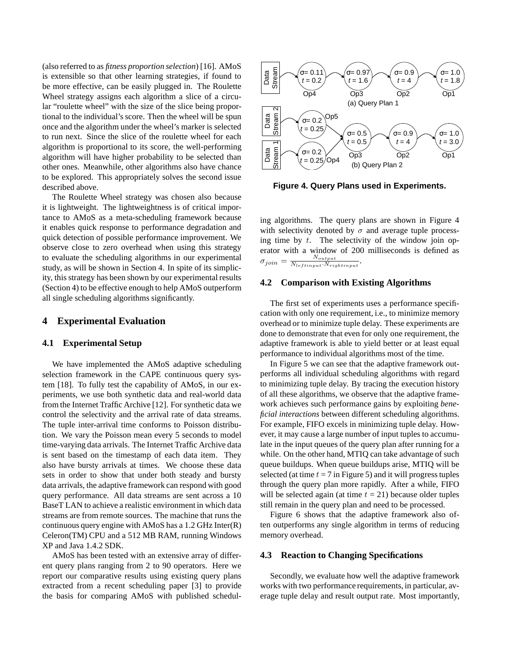(also referred to as *fitness proportion selection*) [16]. AMoS is extensible so that other learning strategies, if found to be more effective, can be easily plugged in. The Roulette Wheel strategy assigns each algorithm a slice of a circular "roulette wheel" with the size of the slice being proportional to the individual's score. Then the wheel will be spun once and the algorithm under the wheel's marker is selected to run next. Since the slice of the roulette wheel for each algorithm is proportional to its score, the well-performing algorithm will have higher probability to be selected than other ones. Meanwhile, other algorithms also have chance to be explored. This appropriately solves the second issue described above.

The Roulette Wheel strategy was chosen also because it is lightweight. The lightweightness is of critical importance to AMoS as a meta-scheduling framework because it enables quick response to performance degradation and quick detection of possible performance improvement. We observe close to zero overhead when using this strategy to evaluate the scheduling algorithms in our experimental study, as will be shown in Section 4. In spite of its simplicity, this strategy has been shown by our experimental results (Section 4) to be effective enough to help AMoS outperform all single scheduling algorithms significantly.

# **4 Experimental Evaluation**

## **4.1 Experimental Setup**

We have implemented the AMoS adaptive scheduling selection framework in the CAPE continuous query system [18]. To fully test the capability of AMoS, in our experiments, we use both synthetic data and real-world data from the Internet Traffic Archive [12]. For synthetic data we control the selectivity and the arrival rate of data streams. The tuple inter-arrival time conforms to Poisson distribution. We vary the Poisson mean every 5 seconds to model time-varying data arrivals. The Internet Traffic Archive data is sent based on the timestamp of each data item. They also have bursty arrivals at times. We choose these data sets in order to show that under both steady and bursty data arrivals, the adaptive framework can respond with good query performance. All data streams are sent across a 10 BaseT LAN to achieve a realistic environment in which data streams are from remote sources. The machine that runs the continuous query engine with AMoS has a 1.2 GHz Inter(R) Celeron(TM) CPU and a 512 MB RAM, running Windows XP and Java 1.4.2 SDK.

AMoS has been tested with an extensive array of different query plans ranging from 2 to 90 operators. Here we report our comparative results using existing query plans extracted from a recent scheduling paper [3] to provide the basis for comparing AMoS with published schedul-



**Figure 4. Query Plans used in Experiments.**

ing algorithms. The query plans are shown in Figure 4 with selectivity denoted by  $\sigma$  and average tuple processing time by  $t$ . The selectivity of the window join operator with a window of 200 milliseconds is defined as  $\sigma_{join} = \frac{N_{output}}{N_{leftinput} \cdot N_{rightinput}}.$ 

# **4.2 Comparison with Existing Algorithms**

The first set of experiments uses a performance specification with only one requirement, i.e., to minimize memory overhead or to minimize tuple delay. These experiments are done to demonstrate that even for only one requirement, the adaptive framework is able to yield better or at least equal performance to individual algorithms most of the time.

In Figure 5 we can see that the adaptive framework outperforms all individual scheduling algorithms with regard to minimizing tuple delay. By tracing the execution history of all these algorithms, we observe that the adaptive framework achieves such performance gains by exploiting *beneficial interactions* between different scheduling algorithms. For example, FIFO excels in minimizing tuple delay. However, it may cause a large number of input tuples to accumulate in the input queues of the query plan after running for a while. On the other hand, MTIQ can take advantage of such queue buildups. When queue buildups arise, MTIQ will be selected (at time  $t = 7$  in Figure 5) and it will progress tuples through the query plan more rapidly. After a while, FIFO will be selected again (at time  $t = 21$ ) because older tuples still remain in the query plan and need to be processed.

Figure 6 shows that the adaptive framework also often outperforms any single algorithm in terms of reducing memory overhead.

#### **4.3 Reaction to Changing Specifications**

Secondly, we evaluate how well the adaptive framework works with two performance requirements, in particular, average tuple delay and result output rate. Most importantly,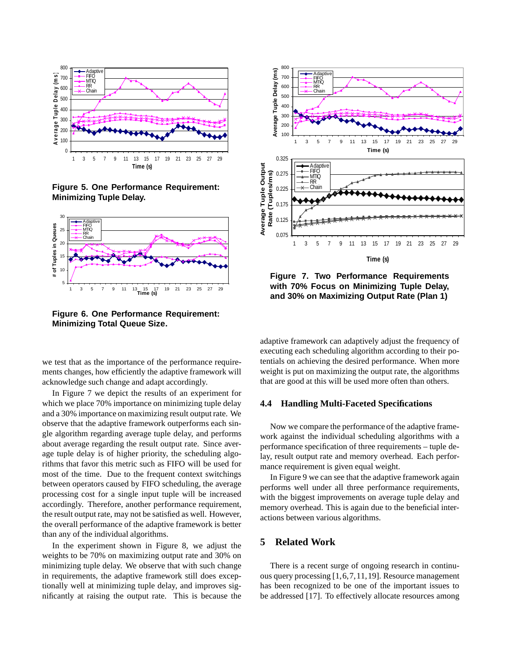

**Figure 5. One Performance Requirement: Minimizing Tuple Delay.**



**Figure 6. One Performance Requirement: Minimizing Total Queue Size.**

we test that as the importance of the performance requirements changes, how efficiently the adaptive framework will acknowledge such change and adapt accordingly.

In Figure 7 we depict the results of an experiment for which we place 70% importance on minimizing tuple delay and a 30% importance on maximizing result output rate. We observe that the adaptive framework outperforms each single algorithm regarding average tuple delay, and performs about average regarding the result output rate. Since average tuple delay is of higher priority, the scheduling algorithms that favor this metric such as FIFO will be used for most of the time. Due to the frequent context switchings between operators caused by FIFO scheduling, the average processing cost for a single input tuple will be increased accordingly. Therefore, another performance requirement, the result output rate, may not be satisfied as well. However, the overall performance of the adaptive framework is better than any of the individual algorithms.

In the experiment shown in Figure 8, we adjust the weights to be 70% on maximizing output rate and 30% on minimizing tuple delay. We observe that with such change in requirements, the adaptive framework still does exceptionally well at minimizing tuple delay, and improves significantly at raising the output rate. This is because the



**Figure 7. Two Performance Requirements with 70% Focus on Minimizing Tuple Delay, and 30% on Maximizing Output Rate (Plan 1)**

adaptive framework can adaptively adjust the frequency of executing each scheduling algorithm according to their potentials on achieving the desired performance. When more weight is put on maximizing the output rate, the algorithms that are good at this will be used more often than others.

#### **4.4 Handling Multi-Faceted Specifications**

Now we compare the performance of the adaptive framework against the individual scheduling algorithms with a performance specification of three requirements – tuple delay, result output rate and memory overhead. Each performance requirement is given equal weight.

In Figure 9 we can see that the adaptive framework again performs well under all three performance requirements, with the biggest improvements on average tuple delay and memory overhead. This is again due to the beneficial interactions between various algorithms.

# **5 Related Work**

There is a recent surge of ongoing research in continuous query processing [1,6,7,11,19]. Resource management has been recognized to be one of the important issues to be addressed [17]. To effectively allocate resources among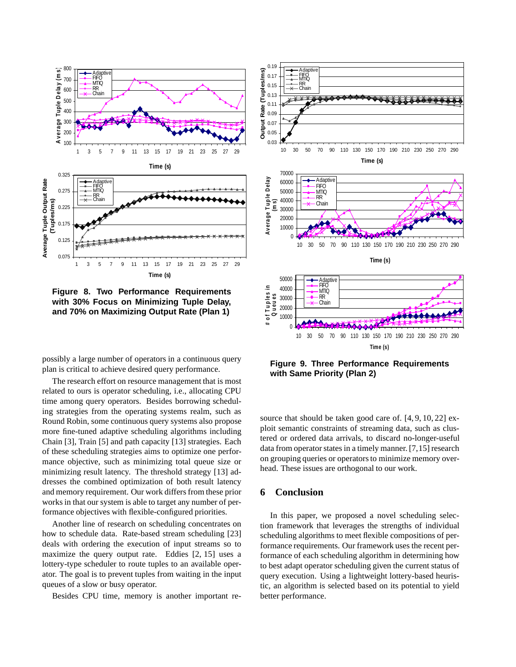

**Figure 8. Two Performance Requirements with 30% Focus on Minimizing Tuple Delay, and 70% on Maximizing Output Rate (Plan 1)**

possibly a large number of operators in a continuous query plan is critical to achieve desired query performance.

The research effort on resource management that is most related to ours is operator scheduling, i.e., allocating CPU time among query operators. Besides borrowing scheduling strategies from the operating systems realm, such as Round Robin, some continuous query systems also propose more fine-tuned adaptive scheduling algorithms including Chain [3], Train [5] and path capacity [13] strategies. Each of these scheduling strategies aims to optimize one performance objective, such as minimizing total queue size or minimizing result latency. The threshold strategy [13] addresses the combined optimization of both result latency and memory requirement. Our work differs from these prior works in that our system is able to target any number of performance objectives with flexible-configured priorities.

Another line of research on scheduling concentrates on how to schedule data. Rate-based stream scheduling [23] deals with ordering the execution of input streams so to maximize the query output rate. Eddies [2, 15] uses a lottery-type scheduler to route tuples to an available operator. The goal is to prevent tuples from waiting in the input queues of a slow or busy operator.

Besides CPU time, memory is another important re-



**Figure 9. Three Performance Requirements with Same Priority (Plan 2)**

source that should be taken good care of. [4, 9, 10, 22] exploit semantic constraints of streaming data, such as clustered or ordered data arrivals, to discard no-longer-useful data from operator states in a timely manner. [7,15] research on grouping queries or operators to minimize memory overhead. These issues are orthogonal to our work.

# **6 Conclusion**

In this paper, we proposed a novel scheduling selection framework that leverages the strengths of individual scheduling algorithms to meet flexible compositions of performance requirements. Our framework uses the recent performance of each scheduling algorithm in determining how to best adapt operator scheduling given the current status of query execution. Using a lightweight lottery-based heuristic, an algorithm is selected based on its potential to yield better performance.